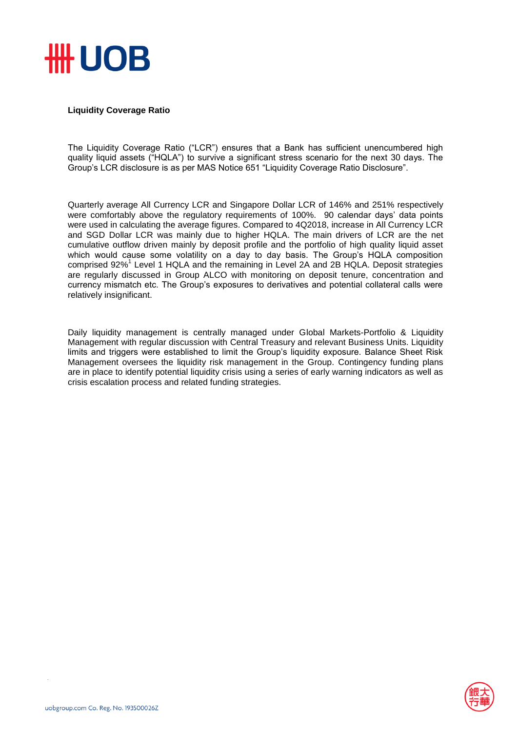

## **Liquidity Coverage Ratio**

The Liquidity Coverage Ratio ("LCR") ensures that a Bank has sufficient unencumbered high quality liquid assets ("HQLA") to survive a significant stress scenario for the next 30 days. The Group's LCR disclosure is as per MAS Notice 651 "Liquidity Coverage Ratio Disclosure".

Quarterly average All Currency LCR and Singapore Dollar LCR of 146% and 251% respectively were comfortably above the regulatory requirements of 100%. 90 calendar days' data points were used in calculating the average figures. Compared to 4Q2018, increase in All Currency LCR and SGD Dollar LCR was mainly due to higher HQLA. The main drivers of LCR are the net cumulative outflow driven mainly by deposit profile and the portfolio of high quality liquid asset which would cause some volatility on a day to day basis. The Group's HQLA composition comprised 92%<sup>1</sup> Level 1 HQLA and the remaining in Level 2A and 2B HQLA. Deposit strategies are regularly discussed in Group ALCO with monitoring on deposit tenure, concentration and currency mismatch etc. The Group's exposures to derivatives and potential collateral calls were relatively insignificant.

Daily liquidity management is centrally managed under Global Markets-Portfolio & Liquidity Management with regular discussion with Central Treasury and relevant Business Units. Liquidity limits and triggers were established to limit the Group's liquidity exposure. Balance Sheet Risk Management oversees the liquidity risk management in the Group. Contingency funding plans are in place to identify potential liquidity crisis using a series of early warning indicators as well as crisis escalation process and related funding strategies.

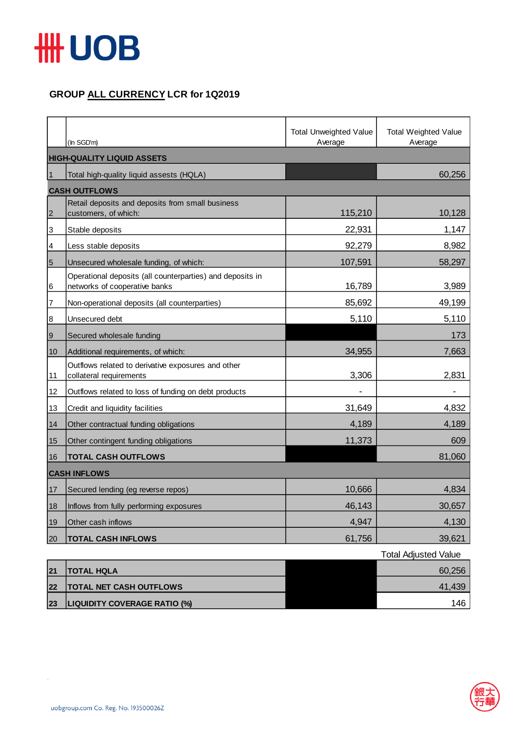

## **GROUP ALL CURRENCY LCR for 1Q2019**

|                 | (In SGD'm)                                                                                 | <b>Total Unweighted Value</b><br>Average | <b>Total Weighted Value</b><br>Average |  |  |
|-----------------|--------------------------------------------------------------------------------------------|------------------------------------------|----------------------------------------|--|--|
|                 | <b>HIGH-QUALITY LIQUID ASSETS</b>                                                          |                                          |                                        |  |  |
| $\mathbf{1}$    | Total high-quality liquid assests (HQLA)                                                   |                                          | 60,256                                 |  |  |
|                 | <b>CASH OUTFLOWS</b>                                                                       |                                          |                                        |  |  |
| $\overline{2}$  | Retail deposits and deposits from small business<br>customers, of which:                   | 115,210                                  | 10,128                                 |  |  |
| 3               | Stable deposits                                                                            | 22,931                                   | 1,147                                  |  |  |
| 4               | Less stable deposits                                                                       | 92,279                                   | 8,982                                  |  |  |
| $5\overline{5}$ | Unsecured wholesale funding, of which:                                                     | 107,591                                  | 58,297                                 |  |  |
| 6               | Operational deposits (all counterparties) and deposits in<br>networks of cooperative banks | 16,789                                   | 3,989                                  |  |  |
| 7               | Non-operational deposits (all counterparties)                                              | 85,692                                   | 49,199                                 |  |  |
| 8               | Unsecured debt                                                                             | 5,110                                    | 5,110                                  |  |  |
| $\overline{9}$  | Secured wholesale funding                                                                  |                                          | 173                                    |  |  |
| 10              | Additional requirements, of which:                                                         | 34,955                                   | 7,663                                  |  |  |
| 11              | Outflows related to derivative exposures and other<br>collateral requirements              | 3,306                                    | 2,831                                  |  |  |
| 12              | Outflows related to loss of funding on debt products                                       |                                          |                                        |  |  |
| 13              | Credit and liquidity facilities                                                            | 31,649                                   | 4,832                                  |  |  |
| 14              | Other contractual funding obligations                                                      | 4,189                                    | 4,189                                  |  |  |
| 15              | Other contingent funding obligations                                                       | 11,373                                   | 609                                    |  |  |
| 16              | <b>TOTAL CASH OUTFLOWS</b>                                                                 |                                          | 81,060                                 |  |  |
|                 | <b>CASH INFLOWS</b>                                                                        |                                          |                                        |  |  |
| 17              | Secured lending (eg reverse repos)                                                         | 10,666                                   | 4,834                                  |  |  |
| 18              | Inflows from fully performing exposures                                                    | 46,143                                   | 30,657                                 |  |  |
| 19              | Other cash inflows                                                                         | 4,947                                    | 4,130                                  |  |  |
| 20              | <b>TOTAL CASH INFLOWS</b>                                                                  | 61,756                                   | 39,621                                 |  |  |

|    |                                     | <b>Total Adjusted Value</b> |
|----|-------------------------------------|-----------------------------|
| 21 | <b>ITOTAL HQLA</b>                  | 60,256                      |
| 22 | <b>TOTAL NET CASH OUTFLOWS</b>      | 41,439                      |
| 23 | <b>LIQUIDITY COVERAGE RATIO (%)</b> | 146                         |